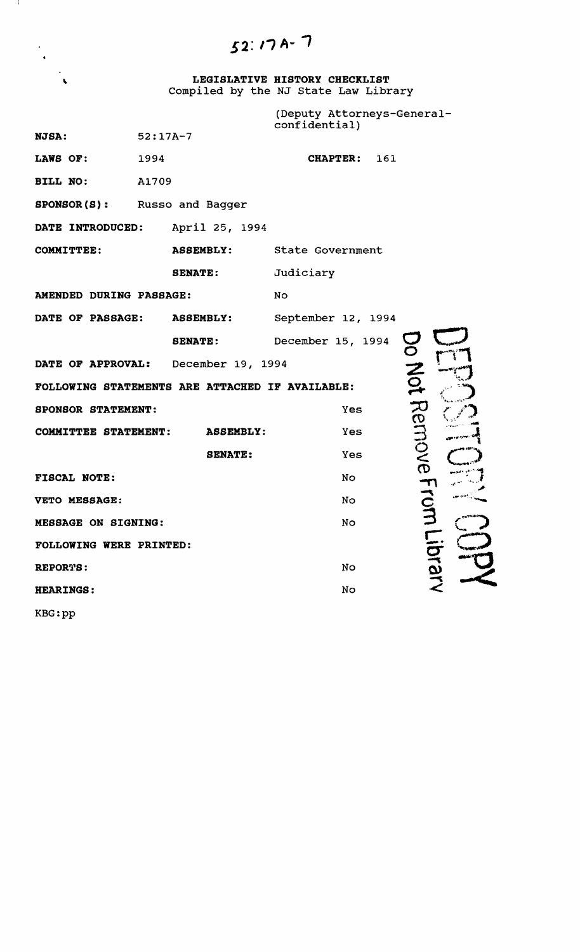$52:17A-7$ 

- 1

**LEGISLATIVE HISTORY CHECKLIST**  Compiled by the NJ state Law Library

|                                                                    |                   | (Deputy Attorneys-General-<br>confidential) |  |  |
|--------------------------------------------------------------------|-------------------|---------------------------------------------|--|--|
| <b>NJSA:</b>                                                       | $52:17A-7$        |                                             |  |  |
| LAWS OF:                                                           | 1994              | 161<br><b>CHAPTER:</b>                      |  |  |
| BILL NO:                                                           | A1709             |                                             |  |  |
| <b>SPONSOR (S):</b>                                                | Russo and Bagger  |                                             |  |  |
| DATE INTRODUCED:                                                   | April 25, 1994    |                                             |  |  |
| <b>COMMITTEE:</b>                                                  | <b>ASSEMBLY:</b>  | State Government                            |  |  |
|                                                                    | <b>SENATE:</b>    | Judiciary                                   |  |  |
| AMENDED DURING PASSAGE:                                            |                   | No                                          |  |  |
| DATE OF PASSAGE:                                                   | <b>ASSEMBLY:</b>  | September 12, 1994                          |  |  |
|                                                                    | <b>SENATE:</b>    | December 15, 1994                           |  |  |
| DATE OF APPROVAL:                                                  | December 19, 1994 |                                             |  |  |
| Mot Remove From<br>FOLLOWING STATEMENTS ARE ATTACHED IF AVAILABLE: |                   |                                             |  |  |
| SPONSOR STATEMENT:                                                 |                   | <b>Yes</b>                                  |  |  |
| COMMITTEE STATEMENT:                                               | <b>ASSEMBLY:</b>  | Yes                                         |  |  |
|                                                                    | <b>SENATE:</b>    | Yes                                         |  |  |
| FISCAL NOTE:                                                       |                   | No                                          |  |  |
| VETO MESSAGE:                                                      |                   | No                                          |  |  |
| <b>MESSAGE ON SIGNING:</b>                                         |                   | No                                          |  |  |
| FOLLOWING WERE PRINTED:                                            |                   | Tiprary                                     |  |  |
| REPORTS:                                                           |                   | No                                          |  |  |
| <b>HEARINGS:</b>                                                   |                   | No                                          |  |  |
| KBG:pp                                                             |                   |                                             |  |  |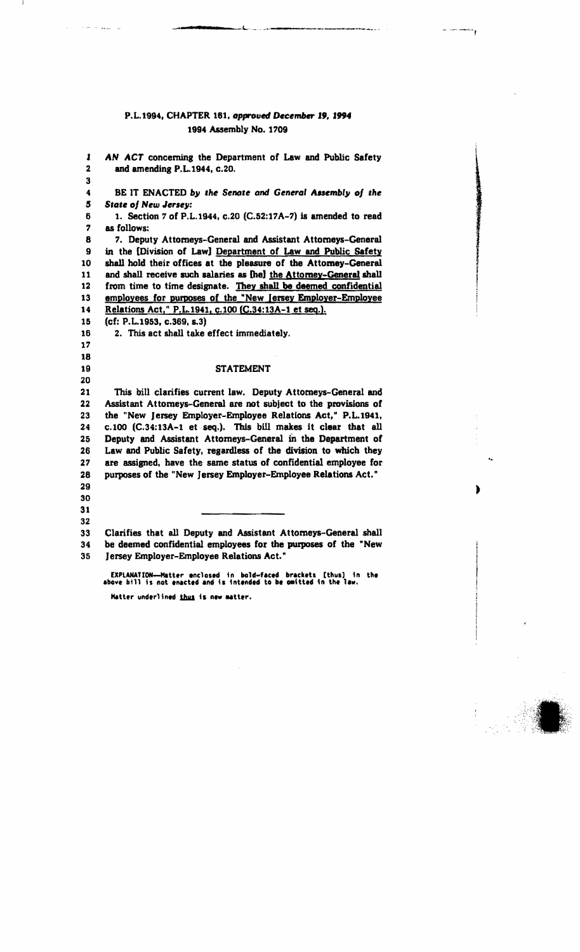### P.L.1994, CHAPTER 161, approved December 19, 1994 1994 Assembly No. 1709

 $\mathbf{L}$ i<br>Santa Sulawa .<br>Audit residence de calical massipulus institutions and in the capital of the participal operator.

\_;004 - **I •** 

 $\hat{\beta}$  , and the state of the second  $\hat{\beta}$ 

| 1                            | AN ACT concerning the Department of Law and Public Safety                                                                        |                    |
|------------------------------|----------------------------------------------------------------------------------------------------------------------------------|--------------------|
| $\overline{\mathbf{2}}$<br>3 | and amending P.L.1944, c.20.                                                                                                     |                    |
| 4                            | BE IT ENACTED by the Senate and General Assembly of the                                                                          | ● 高速通信 電話の をさんまくりょ |
| 5                            | <b>State of New Jersey:</b>                                                                                                      |                    |
| 6                            | 1. Section 7 of P.L.1944, c.20 (C.52:17A-7) is amended to read                                                                   |                    |
| 7                            | as follows:                                                                                                                      |                    |
| 8                            | 7. Deputy Attorneys-General and Assistant Attorneys-General                                                                      |                    |
| $\mathbf{9}$                 | in the [Division of Law] Department of Law and Public Safety                                                                     |                    |
| 10                           | shall hold their offices at the pleasure of the Attomey-General                                                                  |                    |
| 11                           | and shall receive such salaries as [he] the Attorney-General shall                                                               |                    |
| 12                           | from time to time designate. They shall be deemed confidential                                                                   |                    |
| 13                           | employees for purposes of the "New Jersey Employer-Employee                                                                      |                    |
| 14                           | Relations Act," P.L.1941, c.100 (C.34:13A-1 et seq.).                                                                            |                    |
| 15                           | (cf: P.L.1953, c.369, s.3)                                                                                                       |                    |
| 16                           | 2. This act shall take effect immediately.                                                                                       |                    |
| 17                           |                                                                                                                                  |                    |
| 18                           |                                                                                                                                  |                    |
| 19                           | <b>STATEMENT</b>                                                                                                                 |                    |
| 20                           |                                                                                                                                  |                    |
| 21                           | This bill clarifies current law. Deputy Attomeys-General and                                                                     |                    |
| 22                           | Assistant Attorneys-General are not subject to the provisions of                                                                 |                    |
| 23                           | the "New Jersey Employer-Employee Relations Act," P.L.1941,                                                                      |                    |
| 24                           | c.100 (C.34:13A-1 et seq.). This bill makes it clear that all                                                                    |                    |
| 25                           | Deputy and Assistant Attorneys-General in the Department of                                                                      |                    |
| 26                           | Law and Public Safety, regardless of the division to which they                                                                  |                    |
| 27                           | are assigned, have the same status of confidential employee for                                                                  |                    |
| 28                           | purposes of the "New Jersey Employer-Employee Relations Act."                                                                    |                    |
| 29                           |                                                                                                                                  |                    |
| 30                           |                                                                                                                                  |                    |
| 31                           |                                                                                                                                  |                    |
| 32                           |                                                                                                                                  |                    |
| 33<br>34                     | Clarifies that all Deputy and Assistant Attorneys-General shall<br>be deemed confidential employees for the purposes of the "New |                    |
| 35                           | Jersey Employer-Employee Relations Act."                                                                                         |                    |
|                              |                                                                                                                                  |                    |

 $-$ 

EXPLANATIO<del>N--Matter enclosed</del> in bold-faced brackets [thus] in the<br>above bill is not enacted and is intended to be omitted in the law. Hatter underlined thus is new matter.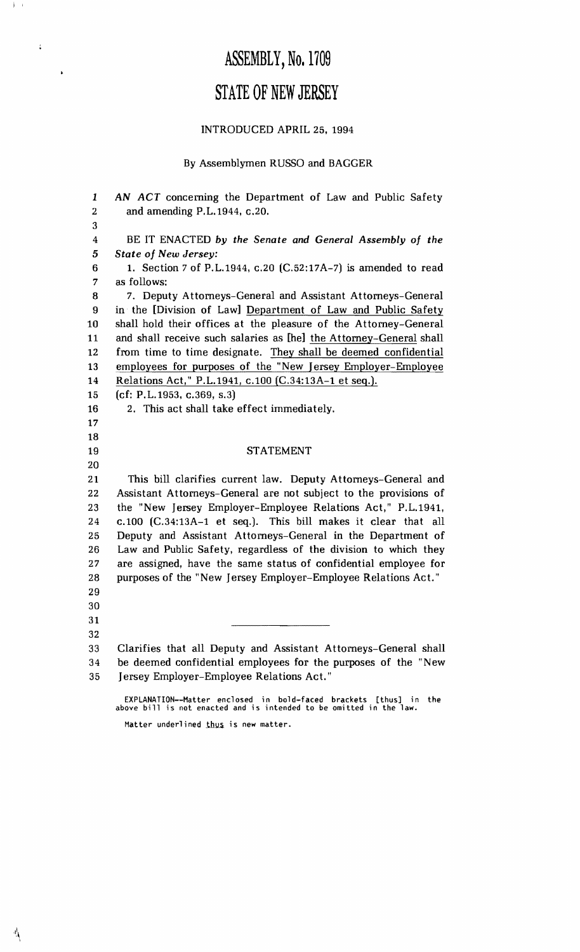## ASSEMBLY, No. 1709

### STATE OF NEW JERSEY

### INTRODUCED APRIL 25, 1994

### By Assemblymen RUSSO and BAGGER

*1 AN ACT* concerning the Department of Law and Public Safety 2 and amending P.L.1944, c.20. 3 4 BE IT ENACTED *by the Senate and General Assembly of the 5 State of New Jersey:*  6 1. Section 7 of P.L.1944, c.20 (C.52:17A-7) is amended to read 7 as follows: 8 7. Deputy Attorneys-General and Assistant Attorneys-General 9 in the [Division of Law] Department of Law and Public Safety 10 shall hold their offices at the pleasure of the Attorney-General 11 and shall receive such salaries as [he] the Attorney-General shall 12 from time to time designate. They shall be deemed confidential 13 employees for purposes of the "New Jersey Employer-Employee 14 Relations Act," P.L.1941, c.l00 (C.34:13A-l et seq.). 15 (cf: P.L.1953, c.369, s.3) 16 2. This act shall take effect immediately. 17 18 19 STATEMENT 20 21 This bill clarifies current law. Deputy Attorneys-General and 22 Assistant Attorneys-General are not subject to the provisions of 23 the "New Jersey Employer-Employee Relations Act," P.L.1941, 24 c.l00 (C.34:13A-l et seq.). This bill makes it clear that all 25 Deputy and Assistant Attorneys-General in the Department of 26 Law and Public Safety, regardless of the division to which they 27 are assigned, have the same status of confidential employee for 28 purposes of the "New Jersey Employer-Employee Relations Act." 29 30 31 32 33 Clarifies that all Deputy and Assistant Attorneys-General shall 34 be deemed confidential employees for the purposes of the "New 35 Jersey Employer-Employee Relations Act." EXPLANATION--Matter enclosed in bold-faced brackets [thus] in the above bill is not enacted and is intended to be omitted in the law.

Matter underlined thus is new matter.

 $j = i$ 

 $\rlap{-}$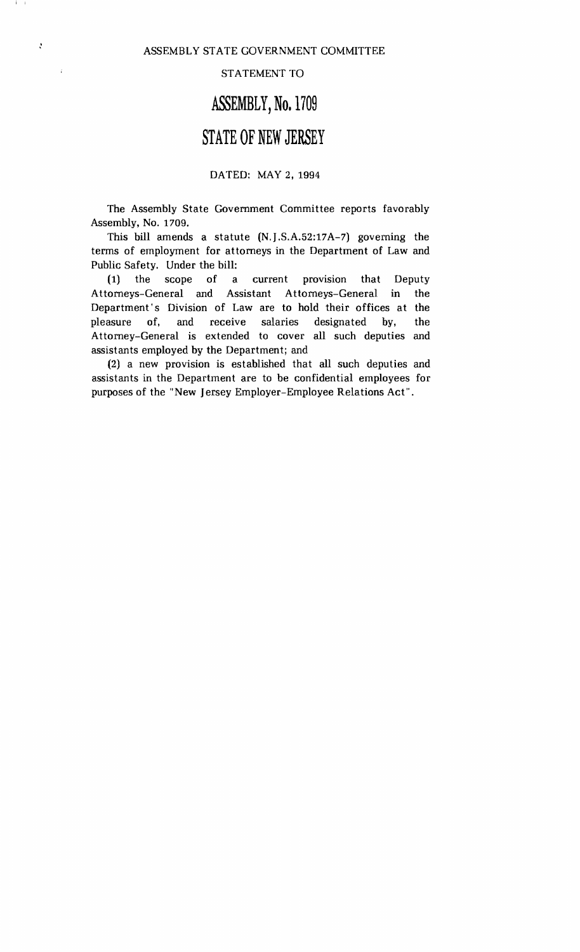I I

 $\ddot{\cdot}$ 

 $\vec{z}$ 

#### STATEMENT TO

## **ASSEMBLY,** No. 1709

## **STATE OF NEW JERSEY**

### DATED: MAY 2, 1994

The Assembly State Government Committee reports favorably Assembly, No. 1709.

This bill amends a statute (N.J.S.A.52:17A-7) governing the terms of employment for attorneys in the Department of Law and Public Safety, Under the bill:

**(1)** the scope of a current provision that Deputy Attorneys-General and Assistant Attorneys-General in the Department's Division of Law are to hold their offices at the pleasure of, and receive salaries designated by, the Attorney-General is extended to cover all such deputies and assistants employed by the Department; and

(2) a new provision is established that all such deputies and assistants in the Department are to be confidential employees for purposes of the "New Jersey Employer-Employee Relations Act".